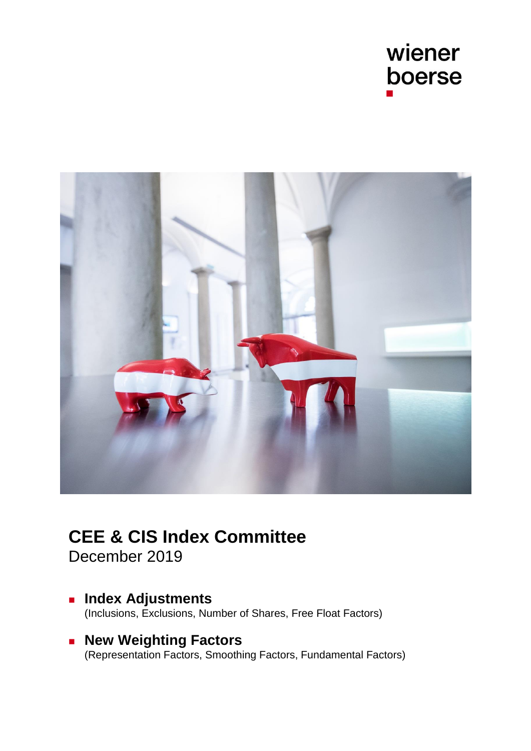



# **CEE & CIS Index Committee**

December 2019

- **Index Adjustments** [\(Inclusions, Exclusions, Number of Shares, Free Float Factors\)](#page-1-0)
- **Rew Weighting Factors** [\(Representation Factors, Smoothing Factors, Fundamental Factors\)](#page-6-0)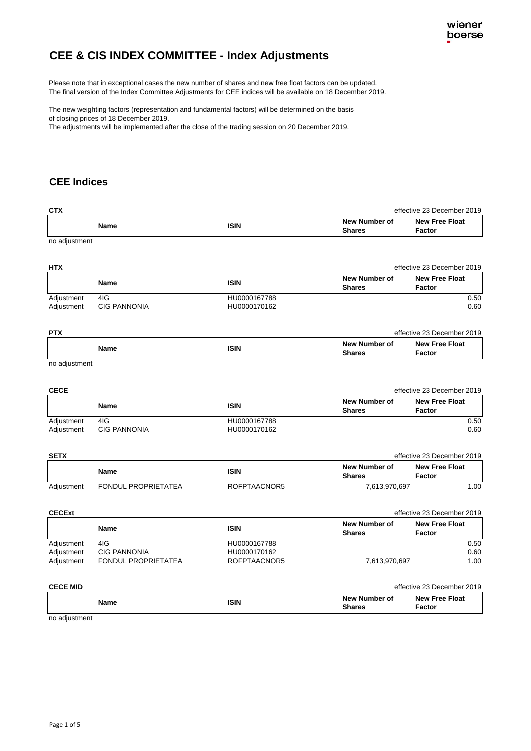# <span id="page-1-0"></span>**CEE & CIS INDEX COMMITTEE - Index Adjustments**

The final version of the Index Committee Adjustments for CEE indices will be available on 18 December 2019. Please note that in exceptional cases the new number of shares and new free float factors can be updated.

The new weighting factors (representation and fundamental factors) will be determined on the basis of closing prices of 18 December 2019.

The adjustments will be implemented after the close of the trading session on 20 December 2019.

### **CEE Indices**

| CTX                                    |                                                   |                                              | effective 23 December 2019            |                                        |  |
|----------------------------------------|---------------------------------------------------|----------------------------------------------|---------------------------------------|----------------------------------------|--|
|                                        | <b>Name</b>                                       | <b>ISIN</b>                                  | <b>New Number of</b><br><b>Shares</b> | <b>New Free Float</b><br>Factor        |  |
| no adjustment                          |                                                   |                                              |                                       |                                        |  |
| <b>HTX</b>                             |                                                   |                                              |                                       | effective 23 December 2019             |  |
|                                        | <b>Name</b>                                       | <b>ISIN</b>                                  | New Number of<br><b>Shares</b>        | <b>New Free Float</b><br>Factor        |  |
| Adjustment<br>Adjustment               | 4IG<br><b>CIG PANNONIA</b>                        | HU0000167788<br>HU0000170162                 |                                       | $0.50\,$<br>0.60                       |  |
| <b>PTX</b>                             |                                                   |                                              |                                       | effective 23 December 2019             |  |
|                                        | <b>Name</b>                                       | <b>ISIN</b>                                  | <b>New Number of</b><br><b>Shares</b> | <b>New Free Float</b><br>Factor        |  |
| no adjustment                          |                                                   |                                              |                                       |                                        |  |
| <b>CECE</b>                            |                                                   |                                              |                                       | effective 23 December 2019             |  |
|                                        | <b>Name</b>                                       | <b>ISIN</b>                                  | New Number of<br><b>Shares</b>        | <b>New Free Float</b><br>Factor        |  |
| Adjustment<br>Adjustment               | 4IG<br><b>CIG PANNONIA</b>                        | HU0000167788<br>HU0000170162                 |                                       | 0.50<br>0.60                           |  |
| <b>SETX</b>                            |                                                   |                                              |                                       | effective 23 December 2019             |  |
|                                        | <b>Name</b>                                       | <b>ISIN</b>                                  | <b>New Number of</b><br><b>Shares</b> | <b>New Free Float</b><br><b>Factor</b> |  |
| Adjustment                             | <b>FONDUL PROPRIETATEA</b>                        | ROFPTAACNOR5                                 | 7,613,970,697                         | 1.00                                   |  |
| <b>CECExt</b>                          |                                                   |                                              |                                       | effective 23 December 2019             |  |
|                                        | Name                                              | <b>ISIN</b>                                  | <b>New Number of</b><br><b>Shares</b> | <b>New Free Float</b><br>Factor        |  |
| Adjustment<br>Adjustment<br>Adjustment | 4IG<br><b>CIG PANNONIA</b><br>FONDUL PROPRIETATEA | HU0000167788<br>HU0000170162<br>ROFPTAACNOR5 | 7,613,970,697                         | 0.50<br>0.60<br>1.00                   |  |
| <b>CECE MID</b>                        |                                                   |                                              |                                       | effective 23 December 2019             |  |
|                                        | <b>Name</b>                                       | <b>ISIN</b>                                  | <b>New Number of</b><br><b>Shares</b> | <b>New Free Float</b><br>Factor        |  |

no adjustment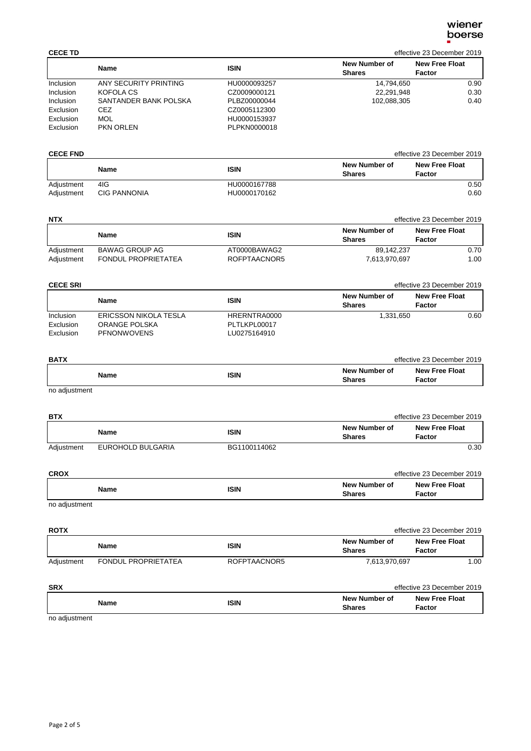| <b>CECE TD</b> |                       |              |                                | effective 23 December 2019      |
|----------------|-----------------------|--------------|--------------------------------|---------------------------------|
|                | Name                  | <b>ISIN</b>  | New Number of<br><b>Shares</b> | <b>New Free Float</b><br>Factor |
| Inclusion      | ANY SECURITY PRINTING | HU0000093257 | 14.794.650                     | 0.90                            |
| Inclusion      | KOFOLA CS             | CZ0009000121 | 22,291,948                     | 0.30                            |
| Inclusion      | SANTANDER BANK POLSKA | PLBZ00000044 | 102,088,305                    | 0.40                            |
| Exclusion      | CEZ                   | CZ0005112300 |                                |                                 |
| Exclusion      | MOL                   | HU0000153937 |                                |                                 |
| Exclusion      | <b>PKN ORLEN</b>      | PLPKN0000018 |                                |                                 |

| <b>CECE FND</b> |                     |              | effective 23 December 2019     |                                 |
|-----------------|---------------------|--------------|--------------------------------|---------------------------------|
|                 | Name                | <b>ISIN</b>  | New Number of<br><b>Shares</b> | <b>New Free Float</b><br>Factor |
| Adjustment      | 4IG                 | HU0000167788 |                                | 0.50                            |
| Adjustment      | <b>CIG PANNONIA</b> | HU0000170162 |                                | 0.60                            |

| <b>NTX</b>               |                                                     |                              |                                | effective 23 December 2019      |
|--------------------------|-----------------------------------------------------|------------------------------|--------------------------------|---------------------------------|
|                          | Name                                                | ISIN                         | New Number of<br><b>Shares</b> | <b>New Free Float</b><br>Factor |
| Adjustment<br>Adjustment | <b>BAWAG GROUP AG</b><br><b>FONDUL PROPRIETATEA</b> | AT0000BAWAG2<br>ROFPTAACNOR5 | 89.142.237<br>7.613.970.697    | 0.70<br>1.00                    |

| <b>CECE SRI</b>        |                                        |                              |                                | effective 23 December 2019      |
|------------------------|----------------------------------------|------------------------------|--------------------------------|---------------------------------|
|                        | <b>Name</b>                            | <b>ISIN</b>                  | New Number of<br><b>Shares</b> | <b>New Free Float</b><br>Factor |
| Inclusion<br>Exclusion | ERICSSON NIKOLA TESLA<br>ORANGE POLSKA | HRERNTRA0000<br>PLTLKPL00017 | 1.331.650                      | 0.60                            |
| Exclusion              | <b>PFNONWOVENS</b>                     | LU0275164910                 |                                |                                 |

| <b>BATX</b>                                                                                                                                                                                                                    |             |                                | effective 23 December 2019      |
|--------------------------------------------------------------------------------------------------------------------------------------------------------------------------------------------------------------------------------|-------------|--------------------------------|---------------------------------|
| Name                                                                                                                                                                                                                           | <b>ISIN</b> | New Number of<br><b>Shares</b> | <b>New Free Float</b><br>Factor |
| the contract of the contract of the contract of the contract of the contract of the contract of the contract of the contract of the contract of the contract of the contract of the contract of the contract of the contract o |             |                                |                                 |

no adjustment

| <b>BTX</b> |                   |              |                                | effective 23 December 2019      |
|------------|-------------------|--------------|--------------------------------|---------------------------------|
|            | Name              | <b>ISIN</b>  | New Number of<br><b>Shares</b> | <b>New Free Float</b><br>Factor |
| Adjustment | EUROHOLD BULGARIA | BG1100114062 |                                | 0.30                            |

| <b>CROX</b>   |      |                                | effective 23 December 2019      |
|---------------|------|--------------------------------|---------------------------------|
| Name          | ISIN | New Number of<br><b>Shares</b> | <b>New Free Float</b><br>Factor |
| no odjuctmont |      |                                |                                 |

no adjustment

| <b>ROTX</b> |                            |              |                                | effective 23 December 2019             |
|-------------|----------------------------|--------------|--------------------------------|----------------------------------------|
|             | <b>Name</b>                | <b>ISIN</b>  | New Number of<br><b>Shares</b> | <b>New Free Float</b><br><b>Factor</b> |
| Adjustment  | <b>FONDUL PROPRIETATEA</b> | ROFPTAACNOR5 | 7,613,970,697                  | 1.00                                   |
| <b>SRX</b>  |                            |              |                                | effective 23 December 2019             |
|             | <b>Name</b>                | <b>ISIN</b>  | New Number of<br><b>Shares</b> | <b>New Free Float</b><br>Factor        |

no adjustment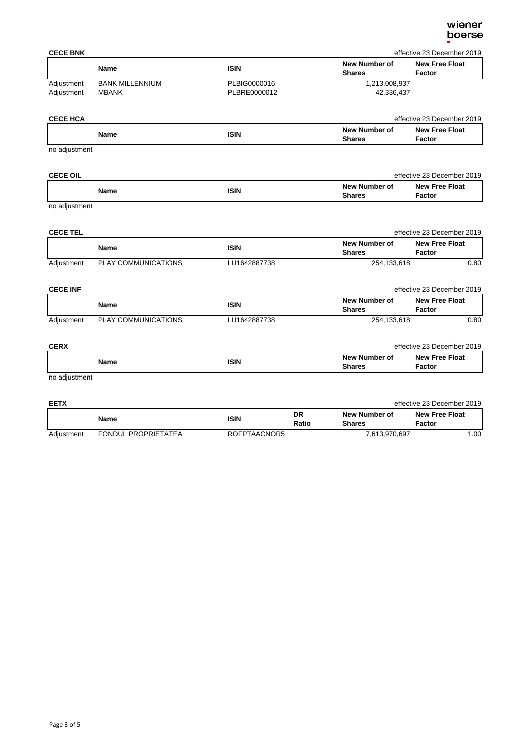| <b>CECE BNK</b> |                        |              |                                | effective 23 December 2019             |  |
|-----------------|------------------------|--------------|--------------------------------|----------------------------------------|--|
|                 | Name                   | <b>ISIN</b>  | New Number of<br><b>Shares</b> | <b>New Free Float</b><br><b>Factor</b> |  |
| Adjustment      | <b>BANK MILLENNIUM</b> | PLBIG0000016 | 1,213,008,937                  |                                        |  |
| Adjustment      | <b>MBANK</b>           | PLBRE0000012 | 42,336,437                     |                                        |  |
| <b>CECE HCA</b> |                        |              |                                | effective 23 December 2019             |  |
|                 |                        |              | Marce Merson lower and         | Maur Free Fleet                        |  |

|               | <b>Name</b> | ISIN | New Number of<br><b>Shares</b> | <b>New Free Float</b><br>Factor |
|---------------|-------------|------|--------------------------------|---------------------------------|
| no adjustment |             |      |                                |                                 |

| <b>CECE OIL</b> |      |                                | effective 23 December 2019             |
|-----------------|------|--------------------------------|----------------------------------------|
| Name            | ISIN | New Number of<br><b>Shares</b> | <b>New Free Float</b><br><b>Factor</b> |

no adjustment

| <b>CECE TEL</b> |                            |              |                                | effective 23 December 2019      |
|-----------------|----------------------------|--------------|--------------------------------|---------------------------------|
|                 | <b>Name</b>                | <b>ISIN</b>  | New Number of<br><b>Shares</b> | <b>New Free Float</b><br>Factor |
| Adjustment      | <b>PLAY COMMUNICATIONS</b> | LU1642887738 | 254,133,618                    | 0.80                            |

| <b>CECE INF</b> |                     |              |                                | effective 23 December 2019      |  |
|-----------------|---------------------|--------------|--------------------------------|---------------------------------|--|
|                 | Name                | ISIN         | New Number of<br><b>Shares</b> | <b>New Free Float</b><br>Factor |  |
| Adjustment      | PLAY COMMUNICATIONS | LU1642887738 | 254,133,618                    | 0.80                            |  |

| <b>CERX</b>                                    |      |                                | effective 23 December 2019      |
|------------------------------------------------|------|--------------------------------|---------------------------------|
| <b>Name</b>                                    | ISIN | New Number of<br><b>Shares</b> | <b>New Free Float</b><br>Factor |
| <b><i><u><u><u>no odiunion</u></u></u></i></b> |      |                                |                                 |

no adjustment

| <b>EETX</b> |                     |              |             |                                | effective 23 December 2019      |  |
|-------------|---------------------|--------------|-------------|--------------------------------|---------------------------------|--|
|             | <b>Name</b>         | ISIN         | DR<br>Ratio | New Number of<br><b>Shares</b> | <b>New Free Float</b><br>Factor |  |
| Adiustment  | FONDUL PROPRIETATEA | ROFPTAACNOR5 |             | 7,613,970,697                  | 1.00                            |  |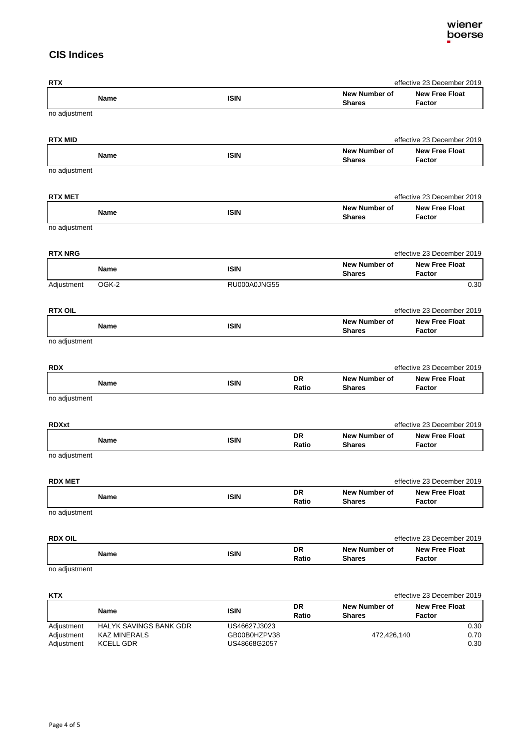### **CIS Indices**

| <b>RTX</b>     |             |              |             |                                | effective 23 December 2019             |
|----------------|-------------|--------------|-------------|--------------------------------|----------------------------------------|
|                | Name        | <b>ISIN</b>  |             | New Number of<br><b>Shares</b> | <b>New Free Float</b><br><b>Factor</b> |
| no adjustment  |             |              |             |                                |                                        |
| <b>RTX MID</b> |             |              |             |                                | effective 23 December 2019             |
|                | Name        | <b>ISIN</b>  |             | New Number of<br><b>Shares</b> | <b>New Free Float</b><br>Factor        |
| no adjustment  |             |              |             |                                |                                        |
| <b>RTX MET</b> |             |              |             |                                | effective 23 December 2019             |
|                | <b>Name</b> | <b>ISIN</b>  |             | New Number of<br><b>Shares</b> | <b>New Free Float</b><br>Factor        |
| no adjustment  |             |              |             |                                |                                        |
| <b>RTX NRG</b> |             |              |             |                                | effective 23 December 2019             |
|                | Name        | <b>ISIN</b>  |             | New Number of<br><b>Shares</b> | <b>New Free Float</b><br>Factor        |
| Adjustment     | OGK-2       | RU000A0JNG55 |             |                                | 0.30                                   |
| <b>RTX OIL</b> |             |              |             |                                | effective 23 December 2019             |
|                | Name        | <b>ISIN</b>  |             | New Number of<br><b>Shares</b> | <b>New Free Float</b><br>Factor        |
| no adjustment  |             |              |             |                                |                                        |
| <b>RDX</b>     |             |              |             |                                | effective 23 December 2019             |
|                |             |              | DR          | <b>New Number of</b>           | <b>New Free Float</b>                  |
|                | Name        | <b>ISIN</b>  | Ratio       | <b>Shares</b>                  | Factor                                 |
| no adjustment  |             |              |             |                                |                                        |
| <b>RDXxt</b>   |             |              |             |                                | effective 23 December 2019             |
|                | <b>Name</b> | <b>ISIN</b>  | DR<br>Ratio | New Number of<br><b>Shares</b> | <b>New Free Float</b><br>Factor        |
| no adjustment  |             |              |             |                                |                                        |
| <b>RDX MET</b> |             |              |             |                                | effective 23 December 2019             |
|                | Name        | <b>ISIN</b>  | DR<br>Ratio | New Number of<br><b>Shares</b> | <b>New Free Float</b><br>Factor        |
| no adjustment  |             |              |             |                                |                                        |
| <b>RDX OIL</b> |             |              |             |                                | effective 23 December 2019             |
|                |             |              | DR          | New Number of                  | <b>New Free Float</b>                  |
|                | Name        | <b>ISIN</b>  | Ratio       | <b>Shares</b>                  | Factor                                 |
| no adjustment  |             |              |             |                                |                                        |
| KTX            |             |              |             |                                | effective 23 December 2019             |
|                |             |              | <b>DD</b>   |                                |                                        |

|            | Name                          | ISIN         | DR<br>Ratio | New Number of<br><b>Shares</b> | <b>New Free Float</b><br>Factor |
|------------|-------------------------------|--------------|-------------|--------------------------------|---------------------------------|
| Adjustment | <b>HALYK SAVINGS BANK GDR</b> | US46627J3023 |             |                                | 0.30                            |
| Adjustment | <b>KAZ MINERALS</b>           | GB00B0HZPV38 |             | 472.426.140                    | 0.70                            |
| Adjustment | <b>KCELL GDR</b>              | US48668G2057 |             |                                | 0.30                            |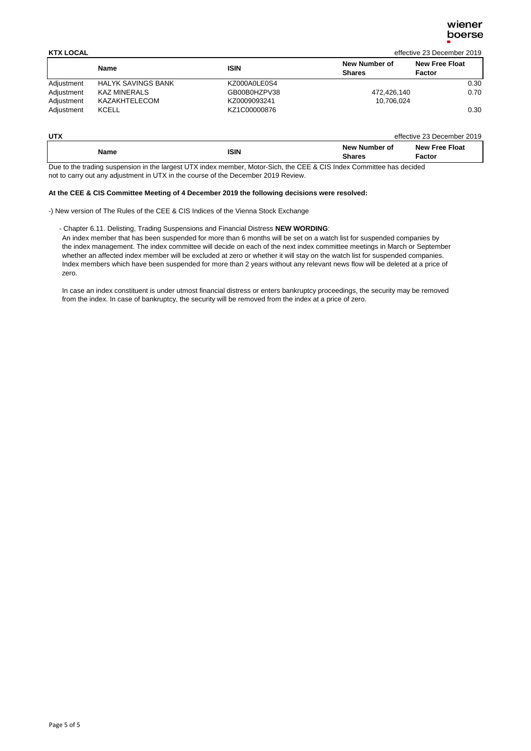| <b>KTX LOCAL</b> |                           |              |                                | effective 23 December 2019      |
|------------------|---------------------------|--------------|--------------------------------|---------------------------------|
|                  | <b>Name</b>               | <b>ISIN</b>  | New Number of<br><b>Shares</b> | <b>New Free Float</b><br>Factor |
| Adjustment       | <b>HALYK SAVINGS BANK</b> | KZ000A0LE0S4 |                                | 0.30                            |
| Adjustment       | <b>KAZ MINERALS</b>       | GB00B0HZPV38 | 472,426,140                    | 0.70                            |
| Adjustment       | KAZAKHTELECOM             | KZ0009093241 | 10.706.024                     |                                 |
| Adjustment       | <b>KCELL</b>              | KZ1C00000876 |                                | 0.30                            |

| UTX         |             |                                | effective 23 December 2019      |
|-------------|-------------|--------------------------------|---------------------------------|
| <b>Name</b> | <b>ISIN</b> | New Number of<br><b>Shares</b> | <b>New Free Float</b><br>Factor |

Due to the trading suspension in the largest UTX index member, Motor-Sich, the CEE & CIS Index Committee has decided not to carry out any adjustment in UTX in the course of the December 2019 Review.

### **At the CEE & CIS Committee Meeting of 4 December 2019 the following decisions were resolved:**

-) New version of The Rules of the CEE & CIS Indices of the Vienna Stock Exchange

### - Chapter 6.11. Delisting, Trading Suspensions and Financial Distress **NEW WORDING**:

 An index member that has been suspended for more than 6 months will be set on a watch list for suspended companies by the index management. The index committee will decide on each of the next index committee meetings in March or September whether an affected index member will be excluded at zero or whether it will stay on the watch list for suspended companies. Index members which have been suspended for more than 2 years without any relevant news flow will be deleted at a price of zero.

 In case an index constituent is under utmost financial distress or enters bankruptcy proceedings, the security may be removed from the index. In case of bankruptcy, the security will be removed from the index at a price of zero.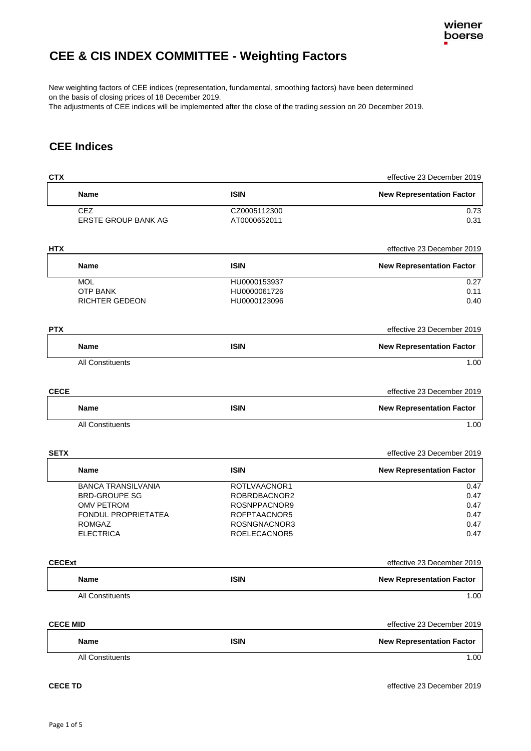# <span id="page-6-0"></span>**CEE & CIS INDEX COMMITTEE - Weighting Factors**

New weighting factors of CEE indices (representation, fundamental, smoothing factors) have been determined on the basis of closing prices of 18 December 2019.

The adjustments of CEE indices will be implemented after the close of the trading session on 20 December 2019.

### **CEE Indices**

| <b>CTX</b>      |                            |              | effective 23 December 2019       |
|-----------------|----------------------------|--------------|----------------------------------|
|                 | <b>Name</b>                | <b>ISIN</b>  | <b>New Representation Factor</b> |
|                 | <b>CEZ</b>                 | CZ0005112300 | 0.73                             |
|                 | <b>ERSTE GROUP BANK AG</b> | AT0000652011 | 0.31                             |
| <b>HTX</b>      |                            |              | effective 23 December 2019       |
|                 | Name                       | <b>ISIN</b>  | <b>New Representation Factor</b> |
|                 | <b>MOL</b>                 | HU0000153937 | 0.27                             |
|                 | <b>OTP BANK</b>            | HU0000061726 | 0.11                             |
|                 | RICHTER GEDEON             | HU0000123096 | 0.40                             |
| <b>PTX</b>      |                            |              | effective 23 December 2019       |
|                 | <b>Name</b>                | <b>ISIN</b>  | <b>New Representation Factor</b> |
|                 | All Constituents           |              | 1.00                             |
| <b>CECE</b>     |                            |              | effective 23 December 2019       |
|                 | <b>Name</b>                | <b>ISIN</b>  | <b>New Representation Factor</b> |
|                 | <b>All Constituents</b>    |              | 1.00                             |
| <b>SETX</b>     |                            |              | effective 23 December 2019       |
|                 | Name                       | <b>ISIN</b>  | <b>New Representation Factor</b> |
|                 | <b>BANCA TRANSILVANIA</b>  | ROTLVAACNOR1 | 0.47                             |
|                 | <b>BRD-GROUPE SG</b>       | ROBRDBACNOR2 | 0.47                             |
|                 | <b>OMV PETROM</b>          | ROSNPPACNOR9 | 0.47                             |
|                 | FONDUL PROPRIETATEA        | ROFPTAACNOR5 | 0.47                             |
|                 | <b>ROMGAZ</b>              | ROSNGNACNOR3 | 0.47                             |
|                 | <b>ELECTRICA</b>           | ROELECACNOR5 | 0.47                             |
| <b>CECExt</b>   |                            |              | effective 23 December 2019       |
|                 | Name                       | <b>ISIN</b>  | <b>New Representation Factor</b> |
|                 | All Constituents           |              | 1.00                             |
| <b>CECE MID</b> |                            |              | effective 23 December 2019       |
|                 | Name                       | <b>ISIN</b>  | <b>New Representation Factor</b> |
|                 |                            |              |                                  |
|                 | All Constituents           |              | 1.00                             |
|                 |                            |              |                                  |

**CECE TD** effective 23 December 2019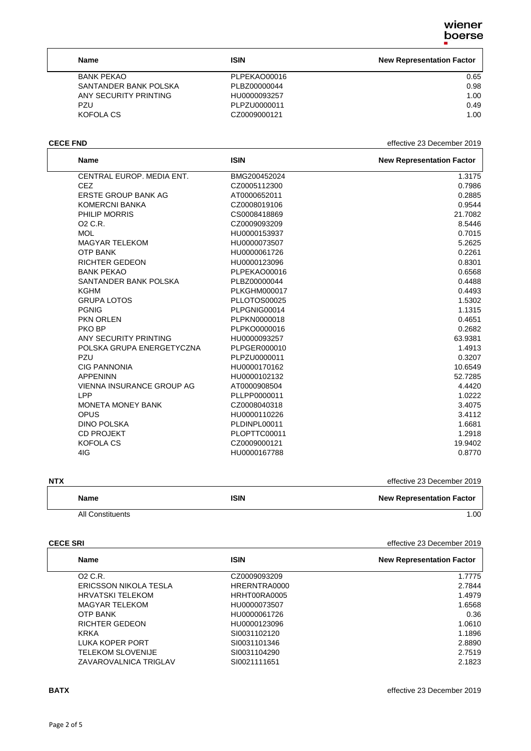٦

| Name                  | <b>ISIN</b>  | <b>New Representation Factor</b> |
|-----------------------|--------------|----------------------------------|
| <b>BANK PEKAO</b>     | PLPEKAO00016 | 0.65                             |
| SANTANDER BANK POLSKA | PLBZ00000044 | 0.98                             |
| ANY SECURITY PRINTING | HU0000093257 | 1.00                             |
| PZU                   | PLPZU0000011 | 0.49                             |
| KOFOLA CS             | CZ0009000121 | 1.00                             |

**CECE FND** effective 23 December 2019

| <b>Name</b>                | <b>ISIN</b>         | <b>New Representation Factor</b> |
|----------------------------|---------------------|----------------------------------|
| CENTRAL EUROP, MEDIA ENT.  | BMG200452024        | 1.3175                           |
| <b>CEZ</b>                 | CZ0005112300        | 0.7986                           |
| <b>ERSTE GROUP BANK AG</b> | AT0000652011        | 0.2885                           |
| <b>KOMERCNI BANKA</b>      | CZ0008019106        | 0.9544                           |
| PHILIP MORRIS              | CS0008418869        | 21.7082                          |
| O <sub>2</sub> C.R.        | CZ0009093209        | 8.5446                           |
| <b>MOL</b>                 | HU0000153937        | 0.7015                           |
| <b>MAGYAR TELEKOM</b>      | HU0000073507        | 5.2625                           |
| <b>OTP BANK</b>            | HU0000061726        | 0.2261                           |
| <b>RICHTER GEDEON</b>      | HU0000123096        | 0.8301                           |
| <b>BANK PEKAO</b>          | PLPEKAO00016        | 0.6568                           |
| SANTANDER BANK POLSKA      | PLBZ00000044        | 0.4488                           |
| KGHM                       | <b>PLKGHM000017</b> | 0.4493                           |
| <b>GRUPA LOTOS</b>         | PLLOTOS00025        | 1.5302                           |
| <b>PGNIG</b>               | PLPGNIG00014        | 1.1315                           |
| PKN ORLEN                  | PLPKN0000018        | 0.4651                           |
| PKO BP                     | PLPKO0000016        | 0.2682                           |
| ANY SECURITY PRINTING      | HU0000093257        | 63.9381                          |
| POLSKA GRUPA ENERGETYCZNA  | PLPGER000010        | 1.4913                           |
| PZU                        | PLPZU0000011        | 0.3207                           |
| <b>CIG PANNONIA</b>        | HU0000170162        | 10.6549                          |
| <b>APPENINN</b>            | HU0000102132        | 52.7285                          |
| VIENNA INSURANCE GROUP AG  | AT0000908504        | 4.4420                           |
| LPP                        | PLLPP0000011        | 1.0222                           |
| <b>MONETA MONEY BANK</b>   | CZ0008040318        | 3.4075                           |
| <b>OPUS</b>                | HU0000110226        | 3.4112                           |
| <b>DINO POLSKA</b>         | PLDINPL00011        | 1.6681                           |
| <b>CD PROJEKT</b>          | PLOPTTC00011        | 1.2918                           |
| <b>KOFOLA CS</b>           | CZ0009000121        | 19.9402                          |
| 4IG                        | HU0000167788        | 0.8770                           |
|                            |                     |                                  |

**NTX** effective 23 December 2019

| Name             | <b>ISIN</b> | <b>New Representation Factor</b> |
|------------------|-------------|----------------------------------|
| All Constituents |             | .00                              |

**CECE SRI** effective 23 December 2019

| <b>Name</b>                  | <b>ISIN</b>  | <b>New Representation Factor</b> |
|------------------------------|--------------|----------------------------------|
| O <sub>2</sub> C.R.          | CZ0009093209 | 1.7775                           |
| <b>ERICSSON NIKOLA TESLA</b> | HRERNTRA0000 | 2.7844                           |
| <b>HRVATSKI TELEKOM</b>      | HRHT00RA0005 | 1.4979                           |
| <b>MAGYAR TELEKOM</b>        | HU0000073507 | 1.6568                           |
| <b>OTP BANK</b>              | HU0000061726 | 0.36                             |
| <b>RICHTER GEDEON</b>        | HU0000123096 | 1.0610                           |
| <b>KRKA</b>                  | SI0031102120 | 1.1896                           |
| LUKA KOPER PORT              | SI0031101346 | 2.8890                           |
| TELEKOM SLOVENIJE            | SI0031104290 | 2.7519                           |
| ZAVAROVALNICA TRIGLAV        | SI0021111651 | 2.1823                           |

**BATX** effective 23 December 2019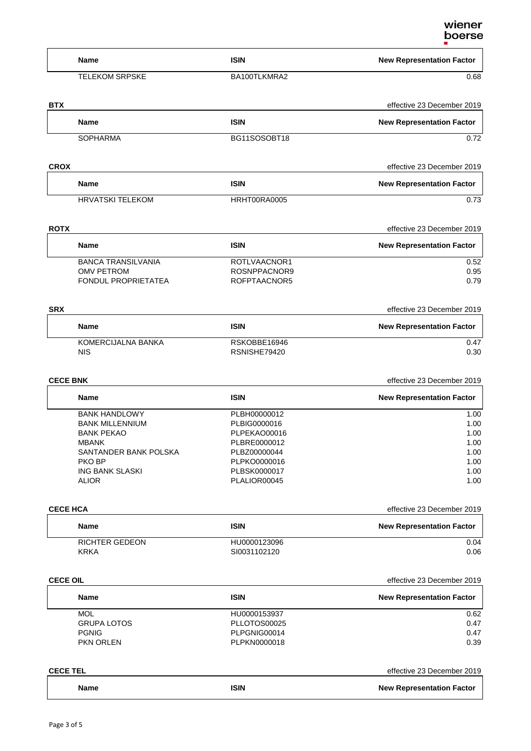| Name                             | <b>ISIN</b>                  | <b>New Representation Factor</b>                               |
|----------------------------------|------------------------------|----------------------------------------------------------------|
| <b>TELEKOM SRPSKE</b>            | BA100TLKMRA2                 | 0.68                                                           |
| <b>BTX</b>                       |                              | effective 23 December 2019                                     |
| <b>Name</b>                      | <b>ISIN</b>                  | <b>New Representation Factor</b>                               |
| <b>SOPHARMA</b>                  | BG11SOSOBT18                 | 0.72                                                           |
| <b>CROX</b>                      |                              | effective 23 December 2019                                     |
| <b>Name</b>                      | <b>ISIN</b>                  | <b>New Representation Factor</b>                               |
| <b>HRVATSKI TELEKOM</b>          | HRHT00RA0005                 | 0.73                                                           |
| <b>ROTX</b>                      |                              | effective 23 December 2019                                     |
| <b>Name</b>                      | <b>ISIN</b>                  | <b>New Representation Factor</b>                               |
| <b>BANCA TRANSILVANIA</b>        | ROTLVAACNOR1                 | 0.52                                                           |
| <b>OMV PETROM</b>                | ROSNPPACNOR9                 | 0.95                                                           |
| FONDUL PROPRIETATEA              | ROFPTAACNOR5                 | 0.79                                                           |
| <b>SRX</b>                       |                              | effective 23 December 2019                                     |
| Name                             | <b>ISIN</b>                  | <b>New Representation Factor</b>                               |
| KOMERCIJALNA BANKA<br><b>NIS</b> | RSKOBBE16946<br>RSNISHE79420 | 0.47<br>0.30                                                   |
|                                  |                              |                                                                |
| <b>CECE BNK</b>                  |                              | effective 23 December 2019                                     |
| Name                             | <b>ISIN</b>                  | <b>New Representation Factor</b>                               |
| <b>BANK HANDLOWY</b>             | PLBH00000012                 | 1.00                                                           |
| <b>BANK MILLENNIUM</b>           | PLBIG0000016                 | 1.00                                                           |
| <b>BANK PEKAO</b>                | PLPEKAO00016                 | 1.00                                                           |
| MBANK                            | PLBRE0000012                 | 1.00                                                           |
| SANTANDER BANK POLSKA            | PLBZ00000044                 | 1.00                                                           |
| <b>PKO BP</b>                    | PLPKO0000016                 | 1.00                                                           |
| <b>ING BANK SLASKI</b>           | PLBSK0000017                 | 1.00                                                           |
| <b>ALIOR</b>                     | PLALIOR00045                 | 1.00                                                           |
| <b>CECE HCA</b>                  |                              | effective 23 December 2019                                     |
| Name                             | <b>ISIN</b>                  | <b>New Representation Factor</b>                               |
| RICHTER GEDEON                   | HU0000123096                 | 0.04                                                           |
| <b>KRKA</b>                      | SI0031102120                 | 0.06                                                           |
| <b>CECE OIL</b>                  |                              | effective 23 December 2019                                     |
| Name                             | <b>ISIN</b>                  | <b>New Representation Factor</b>                               |
| <b>MOL</b>                       | HU0000153937                 | 0.62                                                           |
| <b>GRUPA LOTOS</b>               | PLLOTOS00025                 | 0.47                                                           |
| <b>PGNIG</b><br>PKN ORLEN        | PLPGNIG00014<br>PLPKN0000018 | 0.47<br>0.39                                                   |
|                                  |                              |                                                                |
|                                  |                              |                                                                |
| <b>CECE TEL</b><br>Name          | <b>ISIN</b>                  | effective 23 December 2019<br><b>New Representation Factor</b> |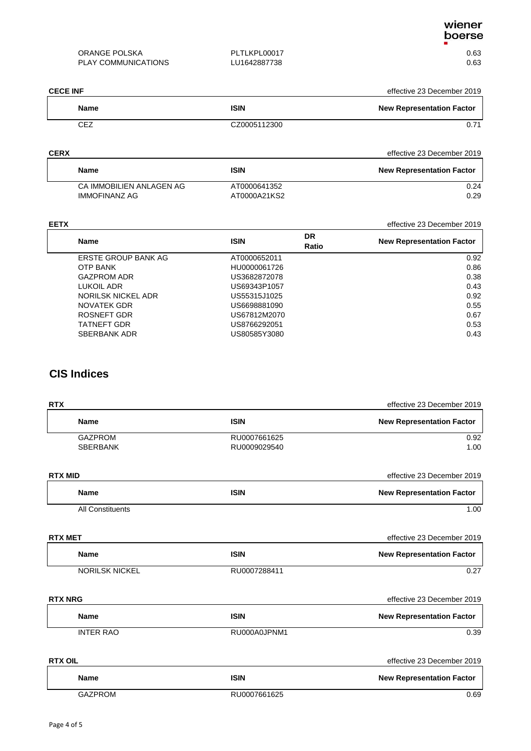| ORANGE POLSKA       | PLTLKPL00017 | 0.63 |
|---------------------|--------------|------|
| PLAY COMMUNICATIONS | LU1642887738 | 0.63 |

| <b>CECE INF</b> |              | effective 23 December 2019       |
|-----------------|--------------|----------------------------------|
| <b>Name</b>     | <b>ISIN</b>  | <b>New Representation Factor</b> |
| CEZ             | CZ0005112300 | 0.71                             |

| <b>CERX</b>              |              | effective 23 December 2019       |
|--------------------------|--------------|----------------------------------|
| Name                     | ISIN         | <b>New Representation Factor</b> |
| CA IMMOBILIEN ANLAGEN AG | AT0000641352 | 0.24                             |
| <b>IMMOFINANZ AG</b>     | AT0000A21KS2 | 0.29                             |

| <b>EETX</b>         |              |             | effective 23 December 2019       |
|---------------------|--------------|-------------|----------------------------------|
| <b>Name</b>         | <b>ISIN</b>  | DR<br>Ratio | <b>New Representation Factor</b> |
| ERSTE GROUP BANK AG | AT0000652011 |             | 0.92                             |
| <b>OTP BANK</b>     | HU0000061726 |             | 0.86                             |
| <b>GAZPROM ADR</b>  | US3682872078 |             | 0.38                             |
| LUKOIL ADR          | US69343P1057 |             | 0.43                             |
| NORILSK NICKEL ADR  | US55315J1025 |             | 0.92                             |
| NOVATEK GDR         | US6698881090 |             | 0.55                             |
| ROSNEFT GDR         | US67812M2070 |             | 0.67                             |
| <b>TATNEFT GDR</b>  | US8766292051 |             | 0.53                             |
| SBERBANK ADR        | US80585Y3080 |             | 0.43                             |

## **CIS Indices**

| <b>RTX</b>            |              | effective 23 December 2019       |
|-----------------------|--------------|----------------------------------|
| <b>Name</b>           | <b>ISIN</b>  | <b>New Representation Factor</b> |
| <b>GAZPROM</b>        | RU0007661625 | 0.92                             |
| <b>SBERBANK</b>       | RU0009029540 | 1.00                             |
| <b>RTX MID</b>        |              | effective 23 December 2019       |
| <b>Name</b>           | <b>ISIN</b>  | <b>New Representation Factor</b> |
| All Constituents      |              | 1.00                             |
| <b>RTX MET</b>        |              | effective 23 December 2019       |
| <b>Name</b>           | <b>ISIN</b>  | <b>New Representation Factor</b> |
| <b>NORILSK NICKEL</b> | RU0007288411 | 0.27                             |
| <b>RTX NRG</b>        |              | effective 23 December 2019       |
| <b>Name</b>           | <b>ISIN</b>  | <b>New Representation Factor</b> |
| <b>INTER RAO</b>      | RU000A0JPNM1 | 0.39                             |
| <b>RTX OIL</b>        |              | effective 23 December 2019       |
| <b>Name</b>           | <b>ISIN</b>  | <b>New Representation Factor</b> |
| <b>GAZPROM</b>        | RU0007661625 | 0.69                             |